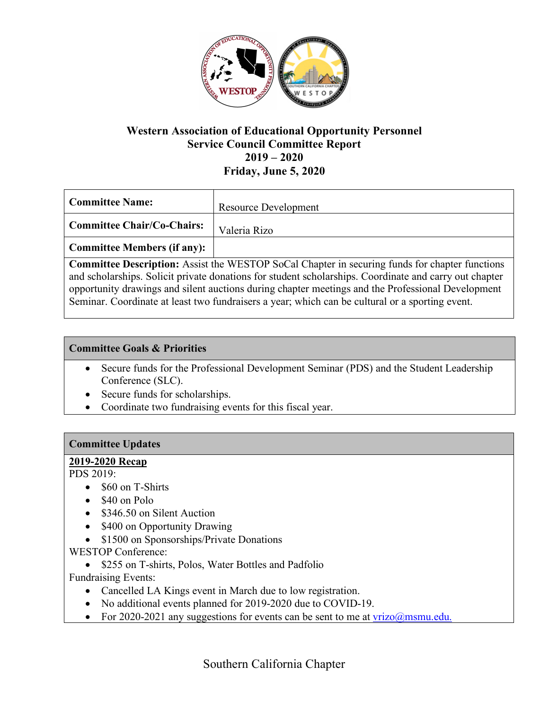

## **Western Association of Educational Opportunity Personnel Service Council Committee Report 2019 – 2020 Friday, June 5, 2020**

| <b>Committee Name:</b>            | <b>Resource Development</b> |
|-----------------------------------|-----------------------------|
| <b>Committee Chair/Co-Chairs:</b> | Valeria Rizo                |
| Committee Members (if any):       |                             |

**Committee Description:** Assist the WESTOP SoCal Chapter in securing funds for chapter functions and scholarships. Solicit private donations for student scholarships. Coordinate and carry out chapter opportunity drawings and silent auctions during chapter meetings and the Professional Development Seminar. Coordinate at least two fundraisers a year; which can be cultural or a sporting event.

#### **Committee Goals & Priorities**

- Secure funds for the Professional Development Seminar (PDS) and the Student Leadership Conference (SLC).
- Secure funds for scholarships.
- Coordinate two fundraising events for this fiscal year.

#### **Committee Updates**

#### **2019-2020 Recap**

PDS 2019:

- \$60 on T-Shirts
- \$40 on Polo
- \$346.50 on Silent Auction
- \$400 on Opportunity Drawing
- \$1500 on Sponsorships/Private Donations

WESTOP Conference:

• \$255 on T-shirts, Polos, Water Bottles and Padfolio

Fundraising Events:

- Cancelled LA Kings event in March due to low registration.
- No additional events planned for 2019-2020 due to COVID-19.
- For 2020-2021 any suggestions for events can be sent to me at  $vrizo(\omega)$ msmu.edu.